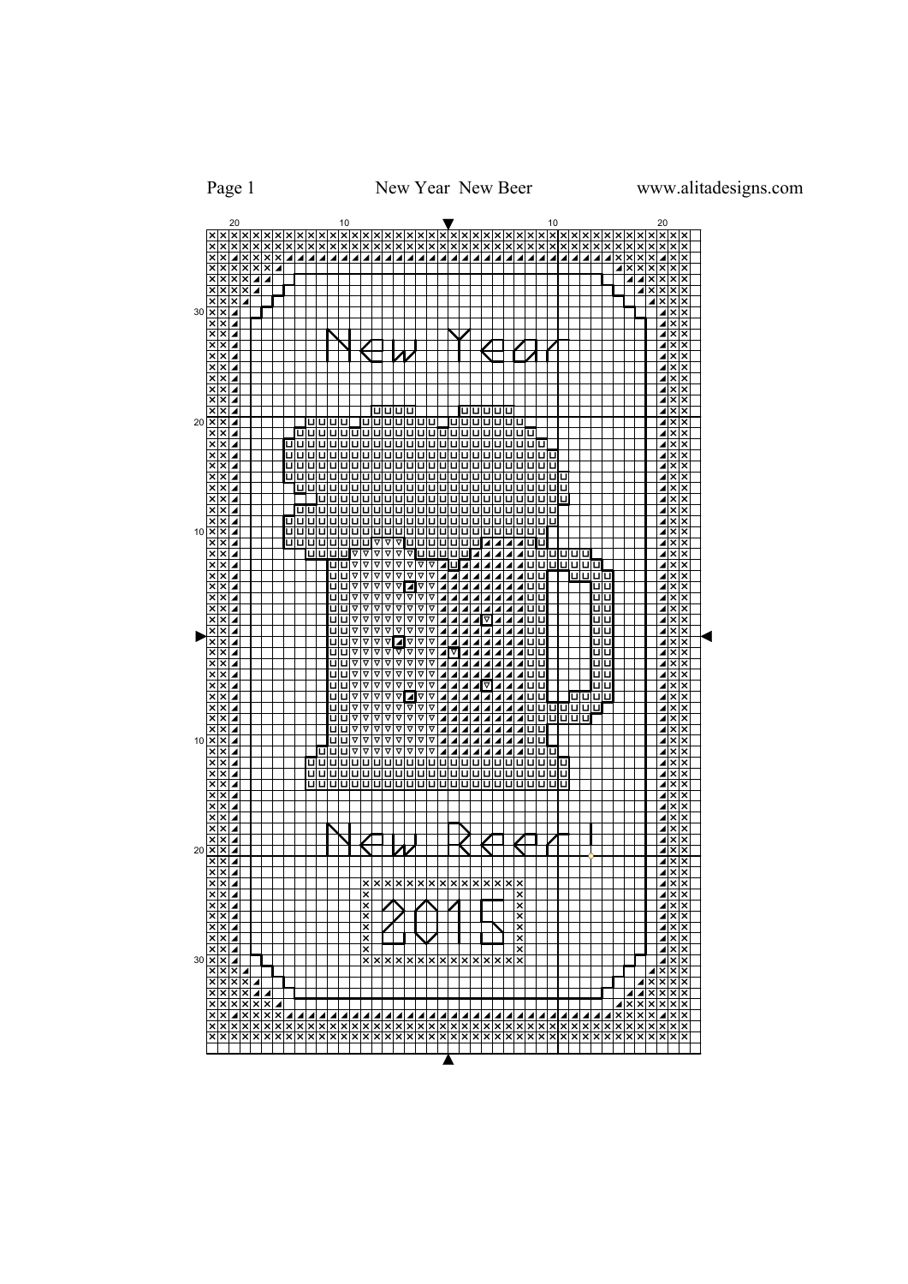